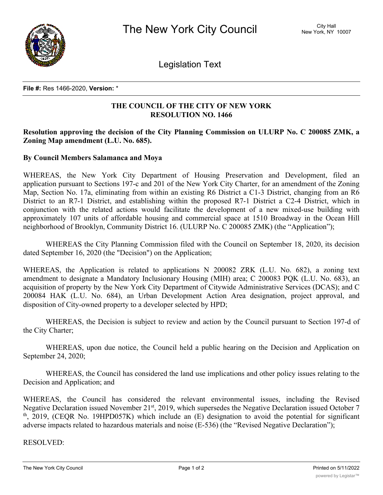

Legislation Text

**File #:** Res 1466-2020, **Version:** \*

## **THE COUNCIL OF THE CITY OF NEW YORK RESOLUTION NO. 1466**

## **Resolution approving the decision of the City Planning Commission on ULURP No. C 200085 ZMK, a Zoning Map amendment (L.U. No. 685).**

## **By Council Members Salamanca and Moya**

WHEREAS, the New York City Department of Housing Preservation and Development, filed an application pursuant to Sections 197-c and 201 of the New York City Charter, for an amendment of the Zoning Map, Section No. 17a, eliminating from within an existing R6 District a C1-3 District, changing from an R6 District to an R7-1 District, and establishing within the proposed R7-1 District a C2-4 District, which in conjunction with the related actions would facilitate the development of a new mixed-use building with approximately 107 units of affordable housing and commercial space at 1510 Broadway in the Ocean Hill neighborhood of Brooklyn, Community District 16. (ULURP No. C 200085 ZMK) (the "Application");

WHEREAS the City Planning Commission filed with the Council on September 18, 2020, its decision dated September 16, 2020 (the "Decision") on the Application;

WHEREAS, the Application is related to applications N 200082 ZRK (L.U. No. 682), a zoning text amendment to designate a Mandatory Inclusionary Housing (MIH) area; C 200083 PQK (L.U. No. 683), an acquisition of property by the New York City Department of Citywide Administrative Services (DCAS); and C 200084 HAK (L.U. No. 684), an Urban Development Action Area designation, project approval, and disposition of City-owned property to a developer selected by HPD;

WHEREAS, the Decision is subject to review and action by the Council pursuant to Section 197-d of the City Charter;

WHEREAS, upon due notice, the Council held a public hearing on the Decision and Application on September 24, 2020;

WHEREAS, the Council has considered the land use implications and other policy issues relating to the Decision and Application; and

WHEREAS, the Council has considered the relevant environmental issues, including the Revised Negative Declaration issued November 21<sup>st</sup>, 2019, which supersedes the Negative Declaration issued October 7  $t<sup>th</sup>$ , 2019, (CEQR No. 19HPD057K) which include an (E) designation to avoid the potential for significant adverse impacts related to hazardous materials and noise (E-536) (the "Revised Negative Declaration");

RESOLVED: